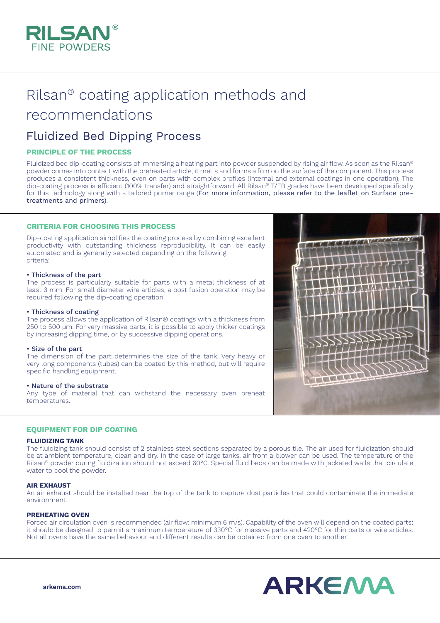

# Rilsan® coating application methods and recommendations

# Fluidized Bed Dipping Process

# **PRINCIPLE OF THE PROCESS**

Fluidized bed dip-coating consists of immersing a heating part into powder suspended by rising air flow. As soon as the Rilsan® powder comes into contact with the preheated article, it melts and forms a film on the surface of the component. This process produces a consistent thickness, even on parts with complex profiles (internal and external coatings in one operation). The dip-coating process is efficient (100% transfer) and straightforward. All Rilsan® T/FB grades have been developed specifically for this technology along with a tailored primer range (For more information, please refer to the leaflet on Surface pretreatments and primers).

# **CRITERIA FOR CHOOSING THIS PROCESS**

Dip-coating application simplifies the coating process by combining excellent productivity with outstanding thickness reproducibility. It can be easily automated and is generally selected depending on the following criteria:

#### • Thickness of the part

The process is particularly suitable for parts with a metal thickness of at least 3 mm. For small diameter wire articles, a post fusion operation may be required following the dip-coating operation.

#### • Thickness of coating

The process allows the application of Rilsan® coatings with a thickness from 250 to 500 μm. For very massive parts, it is possible to apply thicker coatings by increasing dipping time, or by successive dipping operations.

#### • Size of the part

The dimension of the part determines the size of the tank. Very heavy or very long components (tubes) can be coated by this method, but will require specific handling equipment.

#### • Nature of the substrate

Any type of material that can withstand the necessary oven preheat temperatures.

#### **EQUIPMENT FOR DIP COATING**

#### **FLUIDIZING TANK**

The fluidizing tank should consist of 2 stainless steel sections separated by a porous tile. The air used for fluidization should be at ambient temperature, clean and dry. In the case of large tanks, air from a blower can be used. The temperature of the Rilsan® powder during fluidization should not exceed 60°C. Special fluid beds can be made with jacketed walls that circulate water to cool the powder.

#### **AIR EXHAUST**

An air exhaust should be installed near the top of the tank to capture dust particles that could contaminate the immediate environment.

#### **PREHEATING OVEN**

Forced air circulation oven is recommended (air flow: minimum 6 m/s). Capability of the oven will depend on the coated parts: it should be designed to permit a maximum temperature of 330°C for massive parts and 420°C for thin parts or wire articles. Not all ovens have the same behaviour and different results can be obtained from one oven to another.